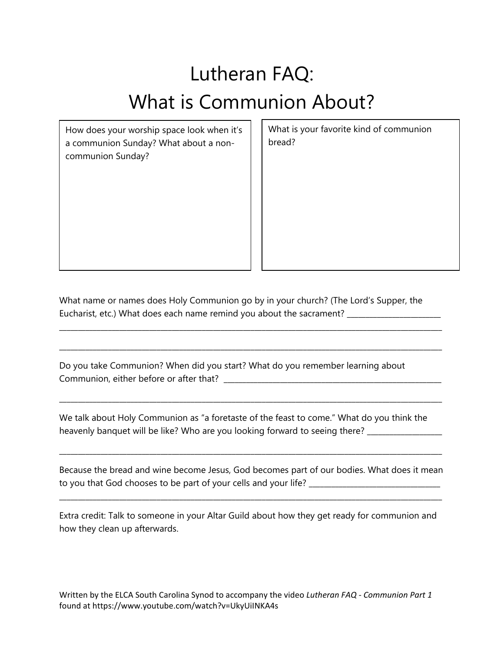## Lutheran FAQ: What is Communion About?

How does your worship space look when it's a communion Sunday? What about a noncommunion Sunday?

What is your favorite kind of communion bread?

What name or names does Holy Communion go by in your church? (The Lord's Supper, the Eucharist, etc.) What does each name remind you about the sacrament? \_\_\_\_\_\_\_\_\_\_\_\_\_\_\_\_\_\_

\_\_\_\_\_\_\_\_\_\_\_\_\_\_\_\_\_\_\_\_\_\_\_\_\_\_\_\_\_\_\_\_\_\_\_\_\_\_\_\_\_\_\_\_\_\_\_\_\_\_\_\_\_\_\_\_\_\_\_\_\_\_\_\_\_\_\_\_\_\_\_\_\_\_\_\_\_\_\_\_\_\_\_\_\_\_\_\_\_\_\_\_\_\_\_\_\_\_\_\_\_\_

\_\_\_\_\_\_\_\_\_\_\_\_\_\_\_\_\_\_\_\_\_\_\_\_\_\_\_\_\_\_\_\_\_\_\_\_\_\_\_\_\_\_\_\_\_\_\_\_\_\_\_\_\_\_\_\_\_\_\_\_\_\_\_\_\_\_\_\_\_\_\_\_\_\_\_\_\_\_\_\_\_\_\_\_\_\_\_\_\_\_\_\_\_\_\_\_\_\_\_\_\_\_

\_\_\_\_\_\_\_\_\_\_\_\_\_\_\_\_\_\_\_\_\_\_\_\_\_\_\_\_\_\_\_\_\_\_\_\_\_\_\_\_\_\_\_\_\_\_\_\_\_\_\_\_\_\_\_\_\_\_\_\_\_\_\_\_\_\_\_\_\_\_\_\_\_\_\_\_\_\_\_\_\_\_\_\_\_\_\_\_\_\_\_\_\_\_\_\_\_\_\_\_\_\_

Do you take Communion? When did you start? What do you remember learning about Communion, either before or after that? \_\_\_\_\_\_\_\_\_\_\_\_\_\_\_\_\_\_\_\_\_\_\_\_\_\_\_\_\_\_\_\_\_\_\_\_\_\_\_\_\_\_\_\_\_\_\_\_\_\_\_\_\_\_\_\_\_\_

We talk about Holy Communion as "a foretaste of the feast to come." What do you think the heavenly banquet will be like? Who are you looking forward to seeing there? \_\_\_\_\_\_\_\_\_\_\_\_\_\_\_\_\_\_\_\_\_\_\_

Because the bread and wine become Jesus, God becomes part of our bodies. What does it mean to you that God chooses to be part of your cells and your life? \_\_\_\_\_\_\_\_\_\_\_\_\_\_\_\_\_

\_\_\_\_\_\_\_\_\_\_\_\_\_\_\_\_\_\_\_\_\_\_\_\_\_\_\_\_\_\_\_\_\_\_\_\_\_\_\_\_\_\_\_\_\_\_\_\_\_\_\_\_\_\_\_\_\_\_\_\_\_\_\_\_\_\_\_\_\_\_\_\_\_\_\_\_\_\_\_\_\_\_\_\_\_\_\_\_\_\_\_\_\_\_\_\_\_\_\_\_\_\_

\_\_\_\_\_\_\_\_\_\_\_\_\_\_\_\_\_\_\_\_\_\_\_\_\_\_\_\_\_\_\_\_\_\_\_\_\_\_\_\_\_\_\_\_\_\_\_\_\_\_\_\_\_\_\_\_\_\_\_\_\_\_\_\_\_\_\_\_\_\_\_\_\_\_\_\_\_\_\_\_\_\_\_\_\_\_\_\_\_\_\_\_\_\_\_\_\_\_\_\_\_\_

Extra credit: Talk to someone in your Altar Guild about how they get ready for communion and how they clean up afterwards.

Written by the ELCA South Carolina Synod to accompany the video *Lutheran FAQ - Communion Part 1* found at https://www.youtube.com/watch?v=UkyUiINKA4s